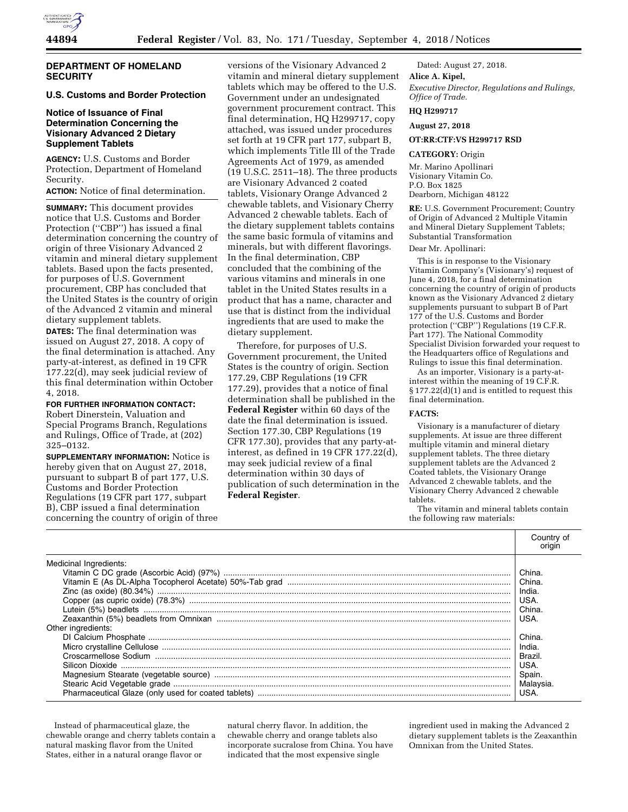

# **DEPARTMENT OF HOMELAND SECURITY**

# **U.S. Customs and Border Protection**

# **Notice of Issuance of Final Determination Concerning the Visionary Advanced 2 Dietary Supplement Tablets**

**AGENCY:** U.S. Customs and Border Protection, Department of Homeland Security.

**ACTION:** Notice of final determination.

**SUMMARY:** This document provides notice that U.S. Customs and Border Protection ("CBP") has issued a final determination concerning the country of origin of three Visionary Advanced 2 vitamin and mineral dietary supplement tablets. Based upon the facts presented, for purposes of U.S. Government procurement, CBP has concluded that the United States is the country of origin of the Advanced 2 vitamin and mineral dietary supplement tablets.

**DATES:** The final determination was issued on August 27, 2018. A copy of the final determination is attached. Any party-at-interest, as defined in 19 CFR 177.22(d), may seek judicial review of this final determination within October 4, 2018.

**FOR FURTHER INFORMATION CONTACT:**  Robert Dinerstein, Valuation and Special Programs Branch, Regulations and Rulings, Office of Trade, at (202) 325–0132.

**SUPPLEMENTARY INFORMATION:** Notice is hereby given that on August 27, 2018, pursuant to subpart B of part 177, U.S. Customs and Border Protection Regulations (19 CFR part 177, subpart B), CBP issued a final determination concerning the country of origin of three

versions of the Visionary Advanced 2 vitamin and mineral dietary supplement tablets which may be offered to the U.S. Government under an undesignated government procurement contract. This final determination, HQ H299717, copy attached, was issued under procedures set forth at 19 CFR part 177, subpart B, which implements Title Ill of the Trade Agreements Act of 1979, as amended (19 U.S.C. 2511–18). The three products are Visionary Advanced 2 coated tablets, Visionary Orange Advanced 2 chewable tablets, and Visionary Cherry Advanced 2 chewable tablets. Each of the dietary supplement tablets contains the same basic formula of vitamins and minerals, but with different flavorings. In the final determination, CBP concluded that the combining of the various vitamins and minerals in one tablet in the United States results in a product that has a name, character and use that is distinct from the individual ingredients that are used to make the dietary supplement.

Therefore, for purposes of U.S. Government procurement, the United States is the country of origin. Section 177.29, CBP Regulations (19 CFR 177.29), provides that a notice of final determination shall be published in the **Federal Register** within 60 days of the date the final determination is issued. Section 177.30, CBP Regulations (19 CFR 177.30), provides that any party-atinterest, as defined in 19 CFR 177.22(d), may seek judicial review of a final determination within 30 days of publication of such determination in the **Federal Register**.

Dated: August 27, 2018. **Alice A. Kipel,**  *Executive Director, Regulations and Rulings, Office of Trade.* 

# **HQ H299717**

**August 27, 2018** 

### **OT:RR:CTF:VS H299717 RSD**

#### **CATEGORY:** Origin

Mr. Marino Apollinari Visionary Vitamin Co. P.O. Box 1825 Dearborn, Michigan 48122

**RE:** U.S. Government Procurement; Country of Origin of Advanced 2 Multiple Vitamin and Mineral Dietary Supplement Tablets; Substantial Transformation

Dear Mr. Apollinari:

This is in response to the Visionary Vitamin Company's (Visionary's) request of June 4, 2018, for a final determination concerning the country of origin of products known as the Visionary Advanced 2 dietary supplements pursuant to subpart B of Part 177 of the U.S. Customs and Border protection (''CBP'') Regulations (19 C.F.R. Part 177). The National Commodity Specialist Division forwarded your request to the Headquarters office of Regulations and Rulings to issue this final determination.

As an importer, Visionary is a party-atinterest within the meaning of 19 C.F.R. § 177.22(d)(1) and is entitled to request this final determination.

#### **FACTS:**

Visionary is a manufacturer of dietary supplements. At issue are three different multiple vitamin and mineral dietary supplement tablets. The three dietary supplement tablets are the Advanced 2 Coated tablets, the Visionary Orange Advanced 2 chewable tablets, and the Visionary Cherry Advanced 2 chewable tablets.

The vitamin and mineral tablets contain the following raw materials:

|                        | Countrv of                                                                    |
|------------------------|-------------------------------------------------------------------------------|
| Medicinal Ingredients: | China.<br>USA.<br>China.<br><b>USA</b>                                        |
| Other ingredients:     | China.<br>India.<br><b>Brazil</b><br>USA.<br>Spain.<br>Malaysia<br><b>USA</b> |

Instead of pharmaceutical glaze, the chewable orange and cherry tablets contain a natural masking flavor from the United States, either in a natural orange flavor or

natural cherry flavor. In addition, the chewable cherry and orange tablets also incorporate sucralose from China. You have indicated that the most expensive single

ingredient used in making the Advanced 2 dietary supplement tablets is the Zeaxanthin Omnixan from the United States.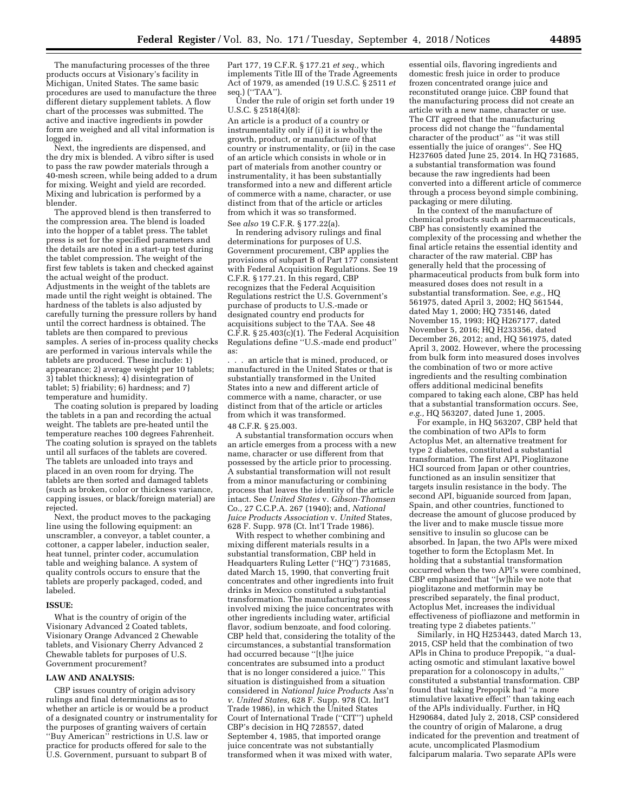The manufacturing processes of the three products occurs at Visionary's facility in Michigan, United States. The same basic procedures are used to manufacture the three different dietary supplement tablets. A flow chart of the processes was submitted. The active and inactive ingredients in powder form are weighed and all vital information is logged in.

Next, the ingredients are dispensed, and the dry mix is blended. A vibro sifter is used to pass the raw powder materials through a 40-mesh screen, while being added to a drum for mixing. Weight and yield are recorded. Mixing and lubrication is performed by a blender.

The approved blend is then transferred to the compression area. The blend is loaded into the hopper of a tablet press. The tablet press is set for the specified parameters and the details are noted in a start-up test during the tablet compression. The weight of the first few tablets is taken and checked against the actual weight of the product. Adjustments in the weight of the tablets are made until the right weight is obtained. The hardness of the tablets is also adjusted by carefully turning the pressure rollers by hand until the correct hardness is obtained. The tablets are then compared to previous samples. A series of in-process quality checks are performed in various intervals while the tablets are produced. These include: 1) appearance; 2) average weight per 10 tablets; 3) tablet thickness); 4) disintegration of tablet; 5) friability; 6) hardness; and 7) temperature and humidity.

The coating solution is prepared by loading the tablets in a pan and recording the actual weight. The tablets are pre-heated until the temperature reaches 100 degrees Fahrenheit. The coating solution is sprayed on the tablets until all surfaces of the tablets are covered. The tablets are unloaded into trays and placed in an oven room for drying. The tablets are then sorted and damaged tablets (such as broken, color or thickness variance, capping issues, or black/foreign material) are rejected.

Next, the product moves to the packaging line using the following equipment: an unscrambler, a conveyor, a tablet counter, a cottoner, a capper labeler, induction sealer, heat tunnel, printer coder, accumulation table and weighing balance. A system of quality controls occurs to ensure that the tablets are properly packaged, coded, and labeled.

#### **ISSUE:**

What is the country of origin of the Visionary Advanced 2 Coated tablets, Visionary Orange Advanced 2 Chewable tablets, and Visionary Cherry Advanced 2 Chewable tablets for purposes of U.S. Government procurement?

#### **LAW AND ANALYSIS:**

CBP issues country of origin advisory rulings and final determinations as to whether an article is or would be a product of a designated country or instrumentality for the purposes of granting waivers of certain ''Buy American'' restrictions in U.S. law or practice for products offered for sale to the U.S. Government, pursuant to subpart B of

Part 177, 19 C.F.R. § 177.21 *et seq.,* which implements Title III of the Trade Agreements Act of 1979, as amended (19 U.S.C. § 2511 *et*  seq.) (''TAA'').

Under the rule of origin set forth under 19 U.S.C. § 2518(4)(8):

An article is a product of a country or instrumentality only if (i) it is wholly the growth, product, or manufacture of that country or instrumentality, or (ii) in the case of an article which consists in whole or in part of materials from another country or instrumentality, it has been substantially transformed into a new and different article of commerce with a name, character, or use distinct from that of the article or articles from which it was so transformed. See *also* 19 C.F.R. § 177.22(a).

In rendering advisory rulings and final determinations for purposes of U.S. Government procurement, CBP applies the provisions of subpart B of Part 177 consistent with Federal Acquisition Regulations. See 19 C.F.R. § 177.21. In this regard, CBP recognizes that the Federal Acquisition Regulations restrict the U.S. Government's purchase of products to U.S.-made or designated country end products for acquisitions subject to the TAA. See 48 C.F.R. § 25.403(c)(1). The Federal Acquisition Regulations define ''U.S.-made end product'' as:

. . . an article that is mined, produced, or manufactured in the United States or that is substantially transformed in the United States into a new and different article of commerce with a name, character, or use distinct from that of the article or articles from which it was transformed.

#### 48 C.F.R. § 25.003.

A substantial transformation occurs when an article emerges from a process with a new name, character or use different from that possessed by the article prior to processing. A substantial transformation will not result from a minor manufacturing or combining process that leaves the identity of the article intact. See *United States* v. *Gibson-Thomsen*  Co., 27 C.C.P.A. 267 (1940); and, *National Juice Products Association* v. *United* States, 628 F. Supp. 978 (Ct. lnt'I Trade 1986).

With respect to whether combining and mixing different materials results in a substantial transformation, CBP held in Headquarters Ruling Letter (''HQ'') 731685, dated March 15, 1990, that converting fruit concentrates and other ingredients into fruit drinks in Mexico constituted a substantial transformation. The manufacturing process involved mixing the juice concentrates with other ingredients including water, artificial flavor, sodium benzoate, and food coloring. CBP held that, considering the totality of the circumstances, a substantial transformation had occurred because ''[t]he juice concentrates are subsumed into a product that is no longer considered a juice.'' This situation is distinguished from a situation considered in *National Juice Products* Ass'n *v. United States,* 628 F. Supp. 978 (Ct. lnt'I Trade 1986), in which the United States Court of International Trade (''CIT'') upheld CBP's decision in HQ 728557, dated September 4, 1985, that imported orange juice concentrate was not substantially transformed when it was mixed with water,

essential oils, flavoring ingredients and domestic fresh juice in order to produce frozen concentrated orange juice and reconstituted orange juice. CBP found that the manufacturing process did not create an article with a new name, character or use. The CIT agreed that the manufacturing process did not change the ''fundamental character of the product'' as ''it was still essentially the juice of oranges''. See HQ H237605 dated June 25, 2014. In HQ 731685, a substantial transformation was found because the raw ingredients had been converted into a different article of commerce through a process beyond simple combining, packaging or mere diluting.

In the context of the manufacture of chemical products such as pharmaceuticals, CBP has consistently examined the complexity of the processing and whether the final article retains the essential identity and character of the raw material. CBP has generally held that the processing of pharmaceutical products from bulk form into measured doses does not result in a substantial transformation. See, *e.g.,* HQ 561975, dated April 3, 2002; HQ 561544, dated May 1, 2000; HQ 735146, dated November 15, 1993; HQ H267177, dated November 5, 2016; HQ H233356, dated December 26, 2012; and, HQ 561975, dated April 3, 2002. However, where the processing from bulk form into measured doses involves the combination of two or more active ingredients and the resulting combination offers additional medicinal benefits compared to taking each alone, CBP has held that a substantial transformation occurs. See, *e.g.,* HQ 563207, dated June 1, 2005.

For example, in HQ 563207, CBP held that the combination of two APls to form Actoplus Met, an alternative treatment for type 2 diabetes, constituted a substantial transformation. The first API, Pioglitazone HCI sourced from Japan or other countries, functioned as an insulin sensitizer that targets insulin resistance in the body. The second API, biguanide sourced from Japan, Spain, and other countries, functioned to decrease the amount of glucose produced by the liver and to make muscle tissue more sensitive to insulin so glucose can be absorbed. In Japan, the two APls were mixed together to form the Ectoplasm Met. In holding that a substantial transformation occurred when the two APl's were combined, CBP emphasized that ''[w]hile we note that pioglitazone and metformin may be prescribed separately, the final product, Actoplus Met, increases the individual effectiveness of piofliazone and metformin in treating type 2 diabetes patients.''

Similarly, in HQ H253443, dated March 13, 2015, CSP held that the combination of two APls in China to produce Prepopik, ''a dualacting osmotic and stimulant laxative bowel preparation for a colonoscopy in adults,'' constituted a substantial transformation. CBP found that taking Prepopik had ''a more stimulative laxative effect'' than taking each of the APls individually. Further, in HQ H290684, dated July 2, 2018, CSP considered the country of origin of Malarone, a drug indicated for the prevention and treatment of acute, uncomplicated Plasmodium falciparum malaria. Two separate APls were